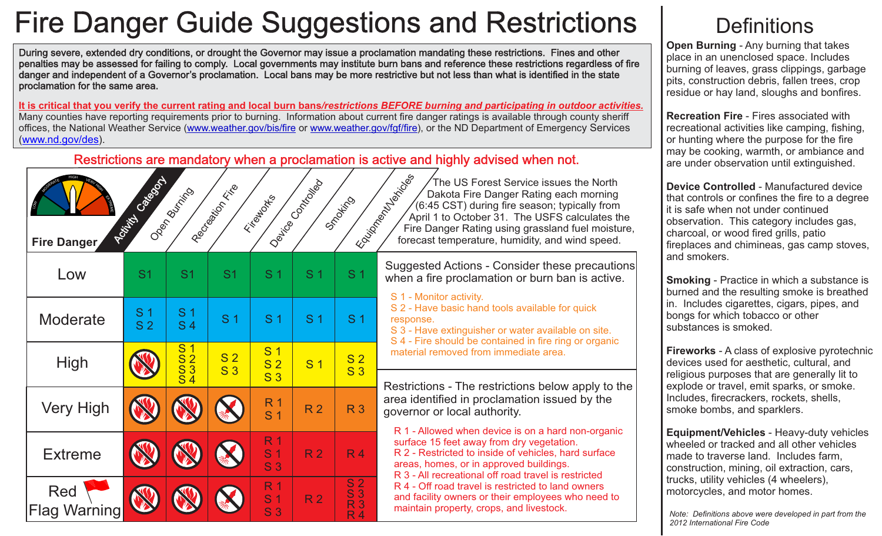# Fire Danger Guide Suggestions and Restrictions

During severe, extended dry conditions, or drought the Governor may issue a proclamation mandating these restrictions. Fines and other penalties may be assessed for failing to comply. Local governments may institute burn bans and reference these restrictions regardless of fire danger and independent of a Governor's proclamation. Local bans may be more restrictive but not less than what is identified in the state proclamation for the same area.

**It is critical that you verify the current rating and local burn bans***/restrictions BEFORE burning and participating in outdoor activities.* Many counties have reporting requirements prior to burning. Information about current fire danger ratings is available through county sheriff offices, the National Weather Service [\(www.weather.gov/bis/fire](http://www.weather.gov/bis/fire) or [www.weather.gov/fgf/fire](http://www.weather.gov/fgf/fire)), or the ND Department of Emergency Services (www.nd.gov/des).

#### . Restrictions are mandatory when a proclamation is active and highly advised when not.

| <b>HIGH</b><br>VERI<br>Ĝ<br><b>Fire Danger</b> | <b>CONSTRUCTION OF PROPERTY</b>  | Open during                      | Recited Maritimes                | Findo Miles                                        | I Device Control Prior | Smokicho<br>$\mathcal{L}^{\mathcal{\vec{S}}}$                |
|------------------------------------------------|----------------------------------|----------------------------------|----------------------------------|----------------------------------------------------|------------------------|--------------------------------------------------------------|
| Low                                            | S <sub>1</sub>                   | S <sub>1</sub>                   | S <sub>1</sub>                   | S <sub>1</sub>                                     | S <sub>1</sub>         | S <sub>1</sub>                                               |
| Moderate                                       | S <sub>1</sub><br>S <sub>2</sub> | S <sub>1</sub><br>S <sub>4</sub> | S <sub>1</sub>                   | S <sub>1</sub>                                     | S <sub>1</sub>         | S <sub>1</sub>                                               |
| <b>High</b>                                    |                                  | $\frac{\text{S1}}{\text{S3}}$    | S <sub>2</sub><br>S <sub>3</sub> | S <sub>1</sub><br>S <sub>2</sub><br>S <sub>3</sub> | S <sub>1</sub>         | S <sub>2</sub><br>S <sub>3</sub>                             |
| <b>Very High</b>                               |                                  |                                  |                                  | R <sub>1</sub><br>S <sub>1</sub>                   | R <sub>2</sub>         | R <sub>3</sub>                                               |
| <b>Extreme</b>                                 |                                  |                                  |                                  | R <sub>1</sub><br>S <sub>1</sub><br>S <sub>3</sub> | R <sub>2</sub>         | R <sub>4</sub>                                               |
| Red<br><b>Flag Warning</b>                     |                                  |                                  |                                  | R <sub>1</sub><br>S <sub>1</sub><br>S <sub>3</sub> | R <sub>2</sub>         | $\frac{S}{S}$<br>R <sub>3</sub><br>$\overline{\mathsf{R}}$ 4 |

Equipment of the Case of The US Forest Service issues the North Dakota Fire Danger Rating each morning (6:45 CST) during fire season; typically from April 1 to October 31. The USFS calculates the Fire Danger Rating using grassland fuel moisture, forecast temperature, humidity, and wind speed.

Suggested Actions - Consider these precautions when a fire proclamation or burn ban is active.

S 1 - Monitor activity.

S 2 - Have basic hand tools available for quick response.

S 3 - Have extinguisher or water available on site.

S 4 - Fire should be contained in fire ring or organic material removed from immediate area.

Restrictions - The restrictions below apply to the area identified in proclamation issued by the governor or local authority.

R 1 - Allowed when device is on a hard non-organic surface 15 feet away from dry vegetation. R 2 - Restricted to inside of vehicles, hard surface areas, homes, or in approved buildings. R 3 - All recreational off road travel is restricted R 4 - Off road travel is restricted to land owners and facility owners or their employees who need to maintain property, crops, and livestock.

### **Definitions**

**Open Burning** - Any burning that takes place in an unenclosed space. Includes burning of leaves, grass clippings, garbage pits, construction debris, fallen trees, crop residue or hay land, sloughs and bonfires.

**Recreation Fire** - Fires associated with recreational activities like camping, fishing, or hunting where the purpose for the fire may be cooking, warmth, or ambiance and are under observation until extinguished.

**Device Controlled** - Manufactured device that controls or confines the fire to a degree it is safe when not under continued observation. This category includes gas, charcoal, or wood fired grills, patio fireplaces and chimineas, gas camp stoves, and smokers.

**Smoking** - Practice in which a substance is burned and the resulting smoke is breathed in. Includes cigarettes, cigars, pipes, and bongs for which tobacco or other substances is smoked.

**Fireworks** - A class of explosive pyrotechnic devices used for aesthetic, cultural, and religious purposes that are generally lit to explode or travel, emit sparks, or smoke. Includes, firecrackers, rockets, shells, smoke bombs, and sparklers.

**Equipment/Vehicles** - Heavy-duty vehicles wheeled or tracked and all other vehicles made to traverse land. Includes farm, construction, mining, oil extraction, cars, trucks, utility vehicles (4 wheelers), motorcycles, and motor homes.

*Note: Definitions above were developed in part from the 2012 International Fire Code*